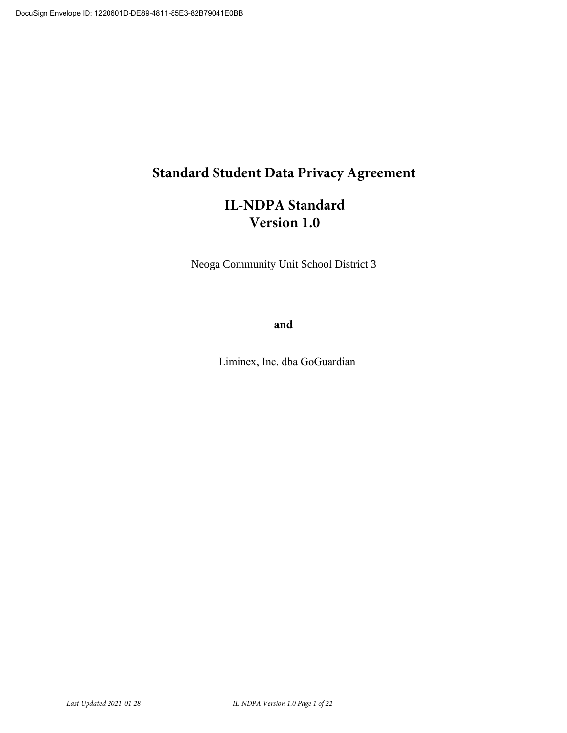# **5tandard Student Data Privacy Agreement**

# **IL-NDPA Standard Version 1.0**

Neoga Community Unit School District 3

and

Liminex, Inc. dba GoGuardian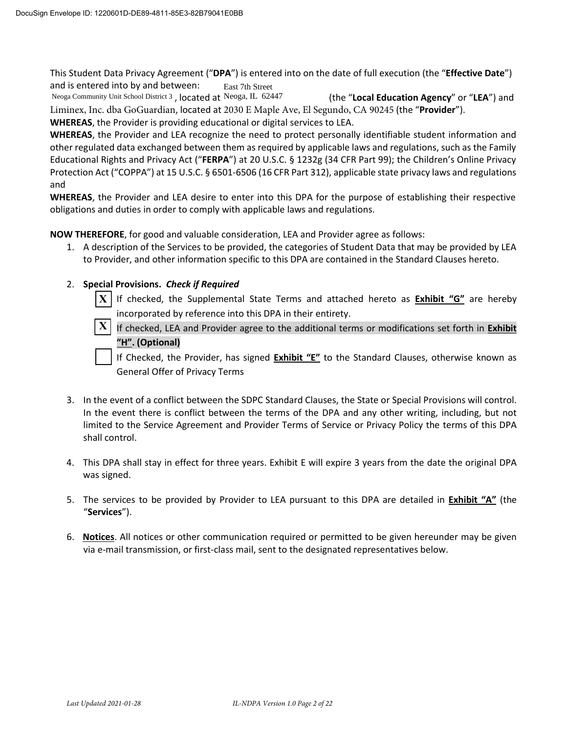This Student Data Privacy Agreement ("DPA") is entered into on the date of full execution (the "Effective Date") and is entered into by and between: East 7th Street

Neoga Community Unit School District 3, located at Neoga, IL 62447 (the "Local Education Agency" or "LEA") and Liminex, Inc. dba GoGuardian, located at 2030 E Maple Ave, El Segundo, CA 90245 (the "Provider").

**WHEREAS**, the Provider is providing educational or digital services to LEA.

**WHEREAS**, the Provider and LEA recognize the need to protect personally identifiable student information and other regulated data exchanged between them as required by applicable laws and regulations, such as the Family Educational Rights and Privacy Act ("FERPA") at 20 U.S.C. § 1232g (34 CFR Part 99); the Children's Online Privacy Protection Act ("COPPA") at 15 U.S.C. § 6501-6506 (16 CFR Part 312), applicable state privacy laws and regulations and

**WHEREAS**, the Provider and LEA desire to enter into this DPA for the purpose of establishing their respective obligations and duties in order to comply with applicable laws and regulations.

**NOW THEREFORE**, for good and valuable consideration, LEA and Provider agree as follows:

1. A description of the Services to be provided, the categories of Student Data that may be provided by LEA to Provider, and other information specific to this DPA are contained in the Standard Clauses hereto.

#### 2. **Special Provisions.** *Check if Required*

- If checked, the Supplemental State Terms and attached hereto as **Exhibit "G"** are hereby incorporated by reference into this DPA in their entirety. **X**
- If checked, LEA and Provider agree to the additional terms or modifications set forth in **Exhibit ͞H͟. (Optional) X**

If Checked, the Provider, has signed **Exhibit "E"** to the Standard Clauses, otherwise known as General Offer of Privacy Terms

- 3. In the event of a conflict between the SDPC Standard Clauses, the State or Special Provisions will control. In the event there is conflict between the terms of the DPA and any other writing, including, but not limited to the Service Agreement and Provider Terms of Service or Privacy Policy the terms of this DPA shall control.
- 4. This DPA shall stay in effect for three years. Exhibit E will expire 3 years from the date the original DPA was signed.
- 5. The services to be provided by Provider to LEA pursuant to this DPA are detailed in **Exhibit "A"** (the ͞**Services**͟Ϳ.
- 6. **Notices**. All notices or other communication required or permitted to be given hereunder may be given via e-mail transmission, or first-class mail, sent to the designated representatives below.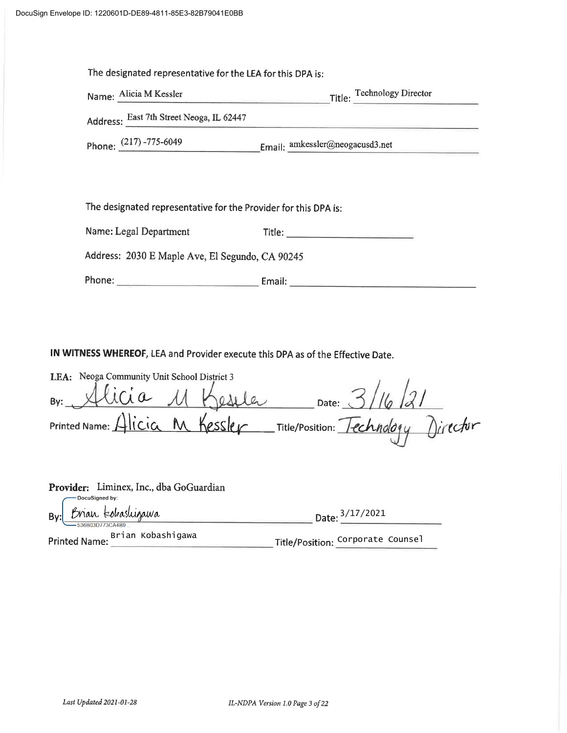| The designated representative for the LEA for this DPA is:      |                                                        |  |  |
|-----------------------------------------------------------------|--------------------------------------------------------|--|--|
| Name: Alicia M Kessler                                          | Title: Technology Director                             |  |  |
| Address: East 7th Street Neoga, IL 62447                        |                                                        |  |  |
|                                                                 | Phone: (217) -775-6049 Email: amkessler@neogacusd3.net |  |  |
|                                                                 |                                                        |  |  |
|                                                                 |                                                        |  |  |
| The designated representative for the Provider for this DPA is: |                                                        |  |  |
| Name: Legal Department                                          |                                                        |  |  |
| Address: 2030 E Maple Ave, El Segundo, CA 90245                 |                                                        |  |  |
|                                                                 |                                                        |  |  |

IN WITNESS WHEREOF, LEA and Provider execute this DPA as of the Effective Date.

| LEA: Neoga Community Unit School District 3 |  |                                      |  |
|---------------------------------------------|--|--------------------------------------|--|
| By: Alicia 11 Keseler                       |  | Date: $3/16/31$                      |  |
| Printed Name: Alicia M Kessler              |  | _Title/Position: Technology Director |  |

| Provider: Liminex, Inc., dba GoGuardian<br>DocuSigned by: |                                   |
|-----------------------------------------------------------|-----------------------------------|
| Brian tobashigawa<br>By:<br>-536B03D773CA4B9.             | Date: 3/17/2021                   |
| Printed Name: Brian Kobashigawa                           | Title/Position: Corporate Counsel |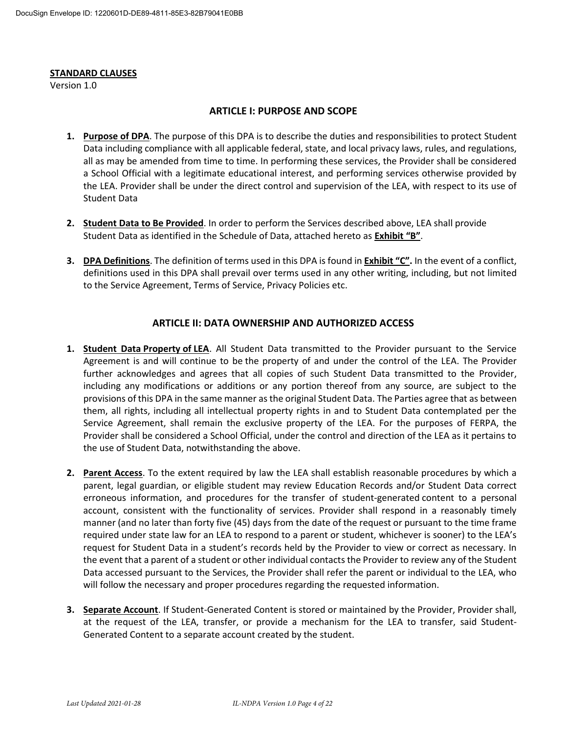#### **STANDARD CLAUSES**

Version 1.0

#### **ARTICLE I: PURPOSE AND SCOPE**

- **1. Purpose of DPA**. The purpose of this DPA is to describe the duties and responsibilities to protect Student Data including compliance with all applicable federal, state, and local privacy laws, rules, and regulations, all as may be amended from time to time. In performing these services, the Provider shall be considered a School Official with a legitimate educational interest, and performing services otherwise provided by the LEA. Provider shall be under the direct control and supervision of the LEA, with respect to its use of Student Data
- **2. Student Data to Be Provided**. In order to perform the Services described above, LEA shall provide Student Data as identified in the Schedule of Data, attached hereto as Exhibit "B".
- **3. DPA Definitions**. The definition of terms used in this DPA is found in **Exhibit "C"**. In the event of a conflict, definitions used in this DPA shall prevail over terms used in any other writing, including, but not limited to the Service Agreement, Terms of Service, Privacy Policies etc.

#### **ARTICLE II: DATA OWNERSHIP AND AUTHORIZED ACCESS**

- **1. Student Data Property of LEA**. All Student Data transmitted to the Provider pursuant to the Service Agreement is and will continue to be the property of and under the control of the LEA. The Provider further acknowledges and agrees that all copies of such Student Data transmitted to the Provider, including any modifications or additions or any portion thereof from any source, are subject to the provisions of this DPA in the same manner as the original Student Data. The Parties agree that as between them, all rights, including all intellectual property rights in and to Student Data contemplated per the Service Agreement, shall remain the exclusive property of the LEA. For the purposes of FERPA, the Provider shall be considered a School Official, under the control and direction of the LEA as it pertains to the use of Student Data, notwithstanding the above.
- **2. Parent Access**. To the extent required by law the LEA shall establish reasonable procedures by which a parent, legal guardian, or eligible student may review Education Records and/or Student Data correct erroneous information, and procedures for the transfer of student-generated content to a personal account, consistent with the functionality of services. Provider shall respond in a reasonably timely manner (and no later than forty five (45) days from the date of the request or pursuant to the time frame required under state law for an LEA to respond to a parent or student, whichever is sooner) to the LEA's request for Student Data in a student's records held by the Provider to view or correct as necessary. In the event that a parent of a student or other individual contacts the Provider to review any of the Student Data accessed pursuant to the Services, the Provider shall refer the parent or individual to the LEA, who will follow the necessary and proper procedures regarding the requested information.
- **3. Separate Account**. If Student-Generated Content is stored or maintained by the Provider, Provider shall, at the request of the LEA, transfer, or provide a mechanism for the LEA to transfer, said Student-Generated Content to a separate account created by the student.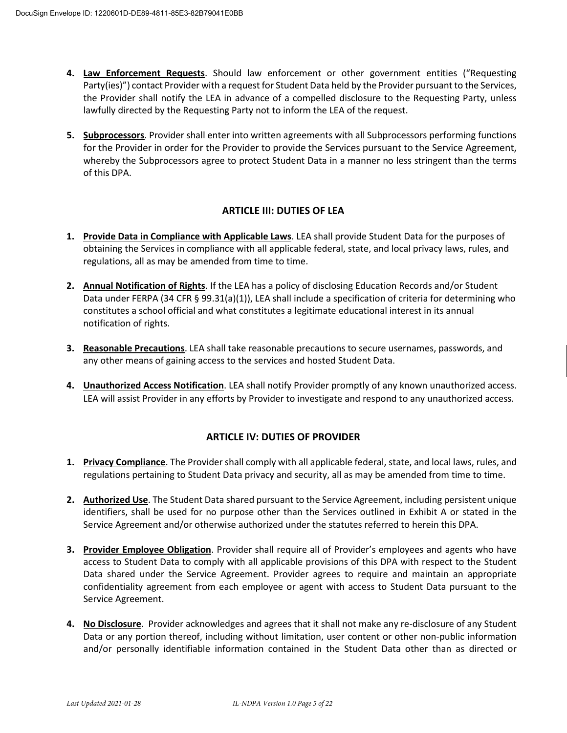- **4. Law Enforcement Requests**. Should law enforcement or other government entities ("Requesting Party(ies)") contact Provider with a request for Student Data held by the Provider pursuant to the Services, the Provider shall notify the LEA in advance of a compelled disclosure to the Requesting Party, unless lawfully directed by the Requesting Party not to inform the LEA of the request.
- **5. Subprocessors**. Provider shall enter into written agreements with all Subprocessors performing functions for the Provider in order for the Provider to provide the Services pursuant to the Service Agreement, whereby the Subprocessors agree to protect Student Data in a manner no less stringent than the terms of this DPA.

## **ARTICLE III: DUTIES OF LEA**

- **1. Provide Data in Compliance with Applicable Laws**. LEA shall provide Student Data for the purposes of obtaining the Services in compliance with all applicable federal, state, and local privacy laws, rules, and regulations, all as may be amended from time to time.
- **2. Annual Notification of Rights**. If the LEA has a policy of disclosing Education Records and/or Student Data under FERPA (34 CFR § 99.31(a)(1)), LEA shall include a specification of criteria for determining who constitutes a school official and what constitutes a legitimate educational interest in its annual notification of rights.
- **3. Reasonable Precautions**. LEA shall take reasonable precautions to secure usernames, passwords, and any other means of gaining access to the services and hosted Student Data.
- **4. Unauthorized Access Notification**. LEA shall notify Provider promptly of any known unauthorized access. LEA will assist Provider in any efforts by Provider to investigate and respond to any unauthorized access.

#### **ARTICLE IV: DUTIES OF PROVIDER**

- **1. Privacy Compliance**. The Provider shall comply with all applicable federal, state, and local laws, rules, and regulations pertaining to Student Data privacy and security, all as may be amended from time to time.
- **2. Authorized Use**. The Student Data shared pursuant to the Service Agreement, including persistent unique identifiers, shall be used for no purpose other than the Services outlined in Exhibit A or stated in the Service Agreement and/or otherwise authorized under the statutes referred to herein this DPA.
- **3.** Provider Employee Obligation. Provider shall require all of Provider's employees and agents who have access to Student Data to comply with all applicable provisions of this DPA with respect to the Student Data shared under the Service Agreement. Provider agrees to require and maintain an appropriate confidentiality agreement from each employee or agent with access to Student Data pursuant to the Service Agreement.
- **4. No Disclosure**. Provider acknowledges and agrees that it shall not make any re-disclosure of any Student Data or any portion thereof, including without limitation, user content or other non-public information and/or personally identifiable information contained in the Student Data other than as directed or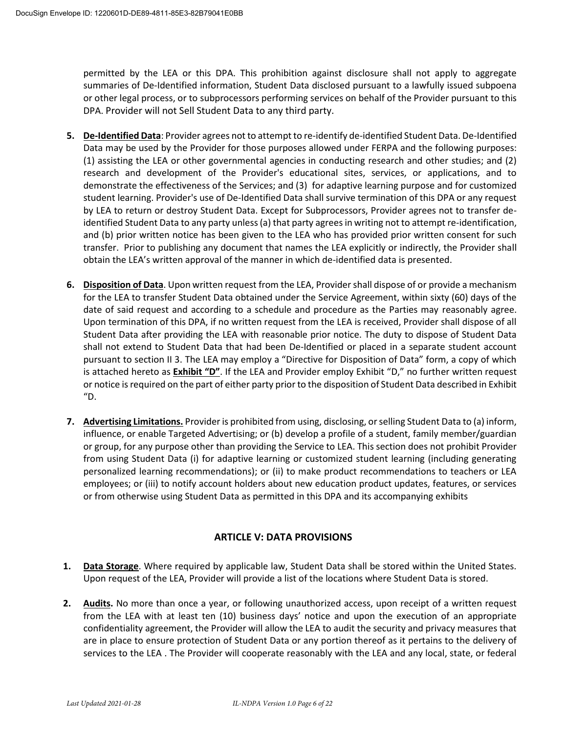permitted by the LEA or this DPA. This prohibition against disclosure shall not apply to aggregate summaries of De-Identified information, Student Data disclosed pursuant to a lawfully issued subpoena or other legal process, or to subprocessors performing services on behalf of the Provider pursuant to this DPA. Provider will not Sell Student Data to any third party.

- **5. De-Identified Data**: Provider agrees not to attempt to re-identify de-identified Student Data. De-Identified Data may be used by the Provider for those purposes allowed under FERPA and the following purposes: (1) assisting the LEA or other governmental agencies in conducting research and other studies; and (2) research and development of the Provider's educational sites, services, or applications, and to demonstrate the effectiveness of the Services; and (3) for adaptive learning purpose and for customized student learning. Provider's use of De-Identified Data shall survive termination of this DPA or any request by LEA to return or destroy Student Data. Except for Subprocessors, Provider agrees not to transfer deidentified Student Data to any party unless (a) that party agrees in writing not to attempt re-identification, and (b) prior written notice has been given to the LEA who has provided prior written consent for such transfer. Prior to publishing any document that names the LEA explicitly or indirectly, the Provider shall obtain the LEA's written approval of the manner in which de-identified data is presented.
- **6. Disposition of Data**. Upon written request from the LEA, Provider shall dispose of or provide a mechanism for the LEA to transfer Student Data obtained under the Service Agreement, within sixty (60) days of the date of said request and according to a schedule and procedure as the Parties may reasonably agree. Upon termination of this DPA, if no written request from the LEA is received, Provider shall dispose of all Student Data after providing the LEA with reasonable prior notice. The duty to dispose of Student Data shall not extend to Student Data that had been De-Identified or placed in a separate student account pursuant to section II 3. The LEA may employ a "Directive for Disposition of Data" form, a copy of which is attached hereto as **Exhibit "D"**. If the LEA and Provider employ Exhibit "D," no further written request or notice is required on the part of either party prior to the disposition of Student Data described in Exhibit  $^{\prime\prime}$ D.
- **7. Advertising Limitations.** Provider is prohibited from using, disclosing, or selling Student Data to (a) inform, influence, or enable Targeted Advertising; or (b) develop a profile of a student, family member/guardian or group, for any purpose other than providing the Service to LEA. This section does not prohibit Provider from using Student Data (i) for adaptive learning or customized student learning (including generating personalized learning recommendations); or (ii) to make product recommendations to teachers or LEA employees; or (iii) to notify account holders about new education product updates, features, or services or from otherwise using Student Data as permitted in this DPA and its accompanying exhibits

## **ARTICLE V: DATA PROVISIONS**

- **1. Data Storage**. Where required by applicable law, Student Data shall be stored within the United States. Upon request of the LEA, Provider will provide a list of the locations where Student Data is stored.
- **2. Audits.** No more than once a year, or following unauthorized access, upon receipt of a written request from the LEA with at least ten (10) business days' notice and upon the execution of an appropriate confidentiality agreement, the Provider will allow the LEA to audit the security and privacy measures that are in place to ensure protection of Student Data or any portion thereof as it pertains to the delivery of services to the LEA . The Provider will cooperate reasonably with the LEA and any local, state, or federal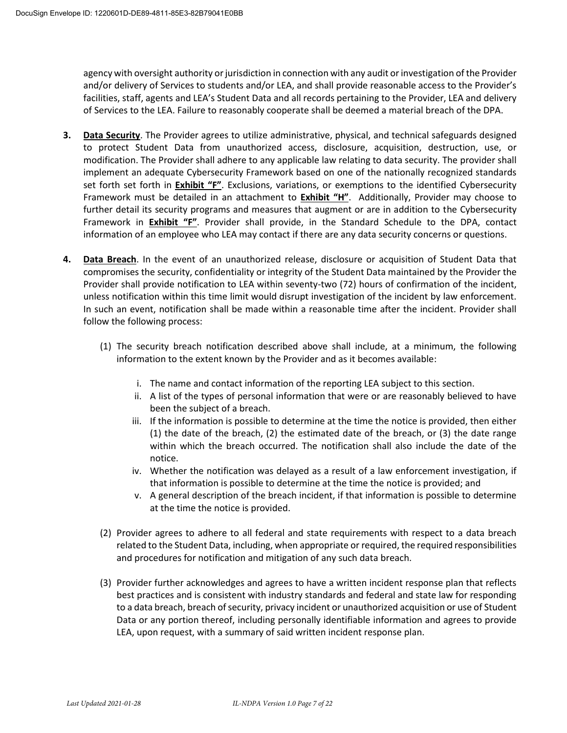agency with oversight authority or jurisdiction in connection with any audit or investigation of the Provider and/or delivery of Services to students and/or LEA, and shall provide reasonable access to the Provider's facilities, staff, agents and LEA's Student Data and all records pertaining to the Provider, LEA and delivery of Services to the LEA. Failure to reasonably cooperate shall be deemed a material breach of the DPA.

- **3. Data Security**. The Provider agrees to utilize administrative, physical, and technical safeguards designed to protect Student Data from unauthorized access, disclosure, acquisition, destruction, use, or modification. The Provider shall adhere to any applicable law relating to data security. The provider shall implement an adequate Cybersecurity Framework based on one of the nationally recognized standards set forth set forth in **Exhibit "F"**. Exclusions, variations, or exemptions to the identified Cybersecurity Framework must be detailed in an attachment to **Exhibit "H"**. Additionally, Provider may choose to further detail its security programs and measures that augment or are in addition to the Cybersecurity Framework in **Exhibit "F"**. Provider shall provide, in the Standard Schedule to the DPA, contact information of an employee who LEA may contact if there are any data security concerns or questions.
- **4. Data Breach**. In the event of an unauthorized release, disclosure or acquisition of Student Data that compromises the security, confidentiality or integrity of the Student Data maintained by the Provider the Provider shall provide notification to LEA within seventy-two (72) hours of confirmation of the incident, unless notification within this time limit would disrupt investigation of the incident by law enforcement. In such an event, notification shall be made within a reasonable time after the incident. Provider shall follow the following process:
	- (1) The security breach notification described above shall include, at a minimum, the following information to the extent known by the Provider and as it becomes available:
		- i. The name and contact information of the reporting LEA subject to this section.
		- ii. A list of the types of personal information that were or are reasonably believed to have been the subject of a breach.
		- iii. If the information is possible to determine at the time the notice is provided, then either (1) the date of the breach, (2) the estimated date of the breach, or (3) the date range within which the breach occurred. The notification shall also include the date of the notice.
		- iv. Whether the notification was delayed as a result of a law enforcement investigation, if that information is possible to determine at the time the notice is provided; and
		- v. A general description of the breach incident, if that information is possible to determine at the time the notice is provided.
	- (2) Provider agrees to adhere to all federal and state requirements with respect to a data breach related to the Student Data, including, when appropriate or required, the required responsibilities and procedures for notification and mitigation of any such data breach.
	- (3) Provider further acknowledges and agrees to have a written incident response plan that reflects best practices and is consistent with industry standards and federal and state law for responding to a data breach, breach of security, privacy incident or unauthorized acquisition or use of Student Data or any portion thereof, including personally identifiable information and agrees to provide LEA, upon request, with a summary of said written incident response plan.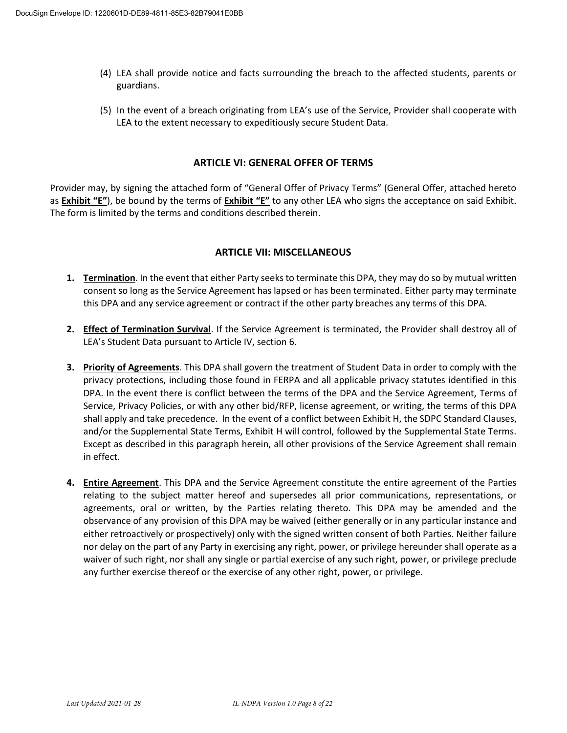- (4) LEA shall provide notice and facts surrounding the breach to the affected students, parents or guardians.
- (5) In the event of a breach originating from LEA's use of the Service, Provider shall cooperate with LEA to the extent necessary to expeditiously secure Student Data.

#### **ARTICLE VI: GENERAL OFFER OF TERMS**

Provider may, by signing the attached form of "General Offer of Privacy Terms" (General Offer, attached hereto as **Exhibit** <sup>*"*</sup>**E**<sup>*n*</sup>), be bound by the terms of **Exhibit** <sup>*"*</sup>**E**<sup>*n*</sup> to any other LEA who signs the acceptance on said Exhibit. The form is limited by the terms and conditions described therein.

#### **ARTICLE VII: MISCELLANEOUS**

- **1. Termination**. In the event that either Party seeks to terminate this DPA, they may do so by mutual written consent so long as the Service Agreement has lapsed or has been terminated. Either party may terminate this DPA and any service agreement or contract if the other party breaches any terms of this DPA.
- **2. Effect of Termination Survival**. If the Service Agreement is terminated, the Provider shall destroy all of LEA's Student Data pursuant to Article IV, section 6.
- **3. Priority of Agreements**. This DPA shall govern the treatment of Student Data in order to comply with the privacy protections, including those found in FERPA and all applicable privacy statutes identified in this DPA. In the event there is conflict between the terms of the DPA and the Service Agreement, Terms of Service, Privacy Policies, or with any other bid/RFP, license agreement, or writing, the terms of this DPA shall apply and take precedence. In the event of a conflict between Exhibit H, the SDPC Standard Clauses, and/or the Supplemental State Terms, Exhibit H will control, followed by the Supplemental State Terms. Except as described in this paragraph herein, all other provisions of the Service Agreement shall remain in effect.
- **4. Entire Agreement**. This DPA and the Service Agreement constitute the entire agreement of the Parties relating to the subject matter hereof and supersedes all prior communications, representations, or agreements, oral or written, by the Parties relating thereto. This DPA may be amended and the observance of any provision of this DPA may be waived (either generally or in any particular instance and either retroactively or prospectively) only with the signed written consent of both Parties. Neither failure nor delay on the part of any Party in exercising any right, power, or privilege hereunder shall operate as a waiver of such right, nor shall any single or partial exercise of any such right, power, or privilege preclude any further exercise thereof or the exercise of any other right, power, or privilege.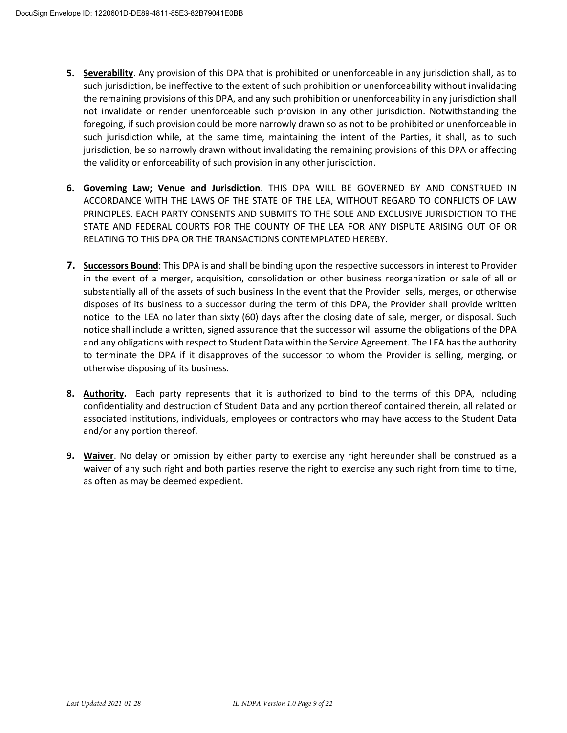- **5. Severability**. Any provision of this DPA that is prohibited or unenforceable in any jurisdiction shall, as to such jurisdiction, be ineffective to the extent of such prohibition or unenforceability without invalidating the remaining provisions of this DPA, and any such prohibition or unenforceability in any jurisdiction shall not invalidate or render unenforceable such provision in any other jurisdiction. Notwithstanding the foregoing, if such provision could be more narrowly drawn so as not to be prohibited or unenforceable in such jurisdiction while, at the same time, maintaining the intent of the Parties, it shall, as to such jurisdiction, be so narrowly drawn without invalidating the remaining provisions of this DPA or affecting the validity or enforceability of such provision in any other jurisdiction.
- **6. Governing Law; Venue and Jurisdiction**. THIS DPA WILL BE GOVERNED BY AND CONSTRUED IN ACCORDANCE WITH THE LAWS OF THE STATE OF THE LEA, WITHOUT REGARD TO CONFLICTS OF LAW PRINCIPLES. EACH PARTY CONSENTS AND SUBMITS TO THE SOLE AND EXCLUSIVE JURISDICTION TO THE STATE AND FEDERAL COURTS FOR THE COUNTY OF THE LEA FOR ANY DISPUTE ARISING OUT OF OR RELATING TO THIS DPA OR THE TRANSACTIONS CONTEMPLATED HEREBY.
- **7. Successors Bound**: This DPA is and shall be binding upon the respective successors in interest to Provider in the event of a merger, acquisition, consolidation or other business reorganization or sale of all or substantially all of the assets of such business In the event that the Provider sells, merges, or otherwise disposes of its business to a successor during the term of this DPA, the Provider shall provide written notice to the LEA no later than sixty (60) days after the closing date of sale, merger, or disposal. Such notice shall include a written, signed assurance that the successor will assume the obligations of the DPA and any obligations with respect to Student Data within the Service Agreement. The LEA has the authority to terminate the DPA if it disapproves of the successor to whom the Provider is selling, merging, or otherwise disposing of its business.
- **8. Authority.** Each party represents that it is authorized to bind to the terms of this DPA, including confidentiality and destruction of Student Data and any portion thereof contained therein, all related or associated institutions, individuals, employees or contractors who may have access to the Student Data and/or any portion thereof.
- **9. Waiver**. No delay or omission by either party to exercise any right hereunder shall be construed as a waiver of any such right and both parties reserve the right to exercise any such right from time to time, as often as may be deemed expedient.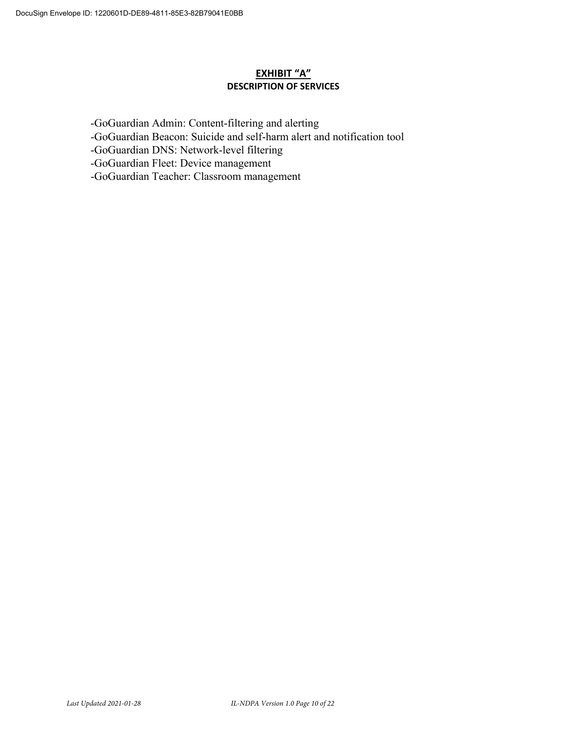### **EXHIBIT "A" DESCRIPTION OF SERVICES**

-GoGuardian Admin: Content-filtering and alerting

- -GoGuardian Beacon: Suicide and self-harm alert and notification tool
- -GoGuardian DNS: Network-level filtering
- -GoGuardian Fleet: Device management
- -GoGuardian Teacher: Classroom management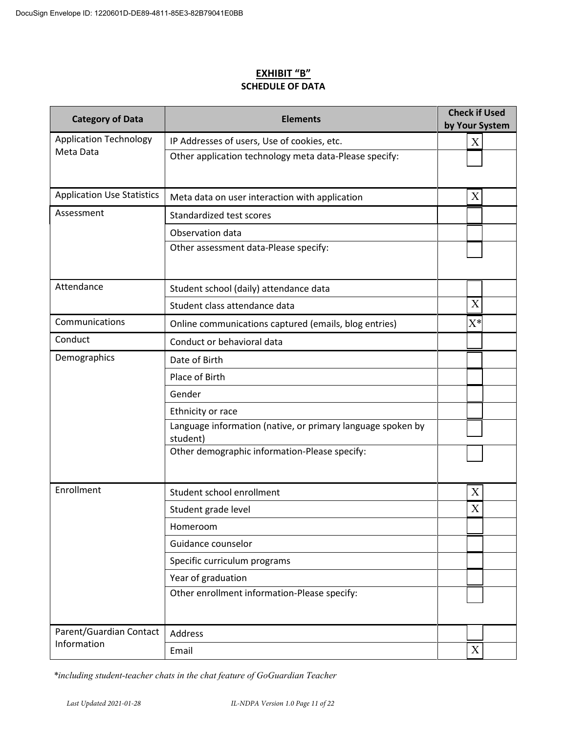## **EXHIBIT ͞B͟ SCHEDULE OF DATA**

| <b>Category of Data</b>           | <b>Elements</b>                                                         | <b>Check if Used</b><br>by Your System |  |
|-----------------------------------|-------------------------------------------------------------------------|----------------------------------------|--|
| <b>Application Technology</b>     | IP Addresses of users, Use of cookies, etc.                             | X                                      |  |
| Meta Data                         | Other application technology meta data-Please specify:                  |                                        |  |
| <b>Application Use Statistics</b> | Meta data on user interaction with application                          | X                                      |  |
| Assessment                        | Standardized test scores                                                |                                        |  |
|                                   | Observation data                                                        |                                        |  |
|                                   | Other assessment data-Please specify:                                   |                                        |  |
| Attendance                        | Student school (daily) attendance data                                  |                                        |  |
|                                   | Student class attendance data                                           | X                                      |  |
| Communications                    | Online communications captured (emails, blog entries)                   | $X^*$                                  |  |
| Conduct                           | Conduct or behavioral data                                              |                                        |  |
| Demographics                      | Date of Birth                                                           |                                        |  |
|                                   | Place of Birth                                                          |                                        |  |
|                                   | Gender                                                                  |                                        |  |
|                                   | Ethnicity or race                                                       |                                        |  |
|                                   | Language information (native, or primary language spoken by<br>student) |                                        |  |
|                                   | Other demographic information-Please specify:                           |                                        |  |
| Enrollment                        | Student school enrollment                                               | X                                      |  |
|                                   | Student grade level                                                     | X                                      |  |
|                                   | Homeroom                                                                |                                        |  |
|                                   | Guidance counselor                                                      |                                        |  |
|                                   | Specific curriculum programs                                            |                                        |  |
|                                   | Year of graduation                                                      |                                        |  |
|                                   | Other enrollment information-Please specify:                            |                                        |  |
| Parent/Guardian Contact           | Address                                                                 |                                        |  |
| Information                       | Email                                                                   | $\mathbf X$                            |  |

*\*including student-teacher chats in the chat feature of GoGuardian Teacher*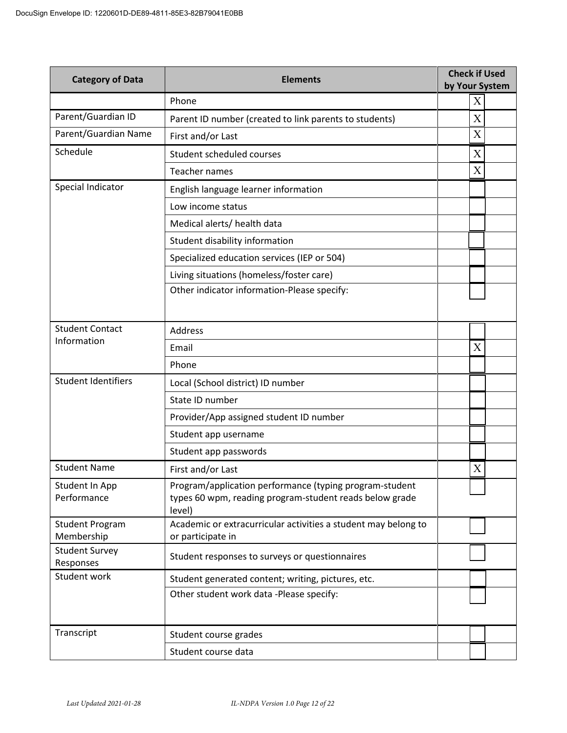| <b>Category of Data</b>               | <b>Check if Used</b><br><b>Elements</b><br>by Your System                                                                    |                           |  |
|---------------------------------------|------------------------------------------------------------------------------------------------------------------------------|---------------------------|--|
|                                       | Phone                                                                                                                        | X                         |  |
| Parent/Guardian ID                    | Parent ID number (created to link parents to students)                                                                       | X                         |  |
| Parent/Guardian Name                  | First and/or Last                                                                                                            | $\boldsymbol{X}$          |  |
| Schedule                              | Student scheduled courses                                                                                                    | X                         |  |
|                                       | <b>Teacher names</b>                                                                                                         | $\boldsymbol{\mathrm{X}}$ |  |
| Special Indicator                     | English language learner information                                                                                         |                           |  |
|                                       | Low income status                                                                                                            |                           |  |
|                                       | Medical alerts/ health data                                                                                                  |                           |  |
|                                       | Student disability information                                                                                               |                           |  |
|                                       | Specialized education services (IEP or 504)                                                                                  |                           |  |
|                                       | Living situations (homeless/foster care)                                                                                     |                           |  |
|                                       | Other indicator information-Please specify:                                                                                  |                           |  |
|                                       |                                                                                                                              |                           |  |
| <b>Student Contact</b><br>Information | Address                                                                                                                      |                           |  |
|                                       | Email                                                                                                                        | X                         |  |
|                                       | Phone                                                                                                                        |                           |  |
| <b>Student Identifiers</b>            | Local (School district) ID number                                                                                            |                           |  |
|                                       | State ID number                                                                                                              |                           |  |
|                                       | Provider/App assigned student ID number                                                                                      |                           |  |
|                                       | Student app username                                                                                                         |                           |  |
|                                       | Student app passwords                                                                                                        |                           |  |
| <b>Student Name</b>                   | First and/or Last                                                                                                            | X                         |  |
| Student In App<br>Performance         | Program/application performance (typing program-student<br>types 60 wpm, reading program-student reads below grade<br>level) |                           |  |
| <b>Student Program</b><br>Membership  | Academic or extracurricular activities a student may belong to<br>or participate in                                          |                           |  |
| <b>Student Survey</b><br>Responses    | Student responses to surveys or questionnaires                                                                               |                           |  |
| Student work                          | Student generated content; writing, pictures, etc.                                                                           |                           |  |
|                                       | Other student work data -Please specify:                                                                                     |                           |  |
| Transcript                            | Student course grades                                                                                                        |                           |  |
|                                       | Student course data                                                                                                          |                           |  |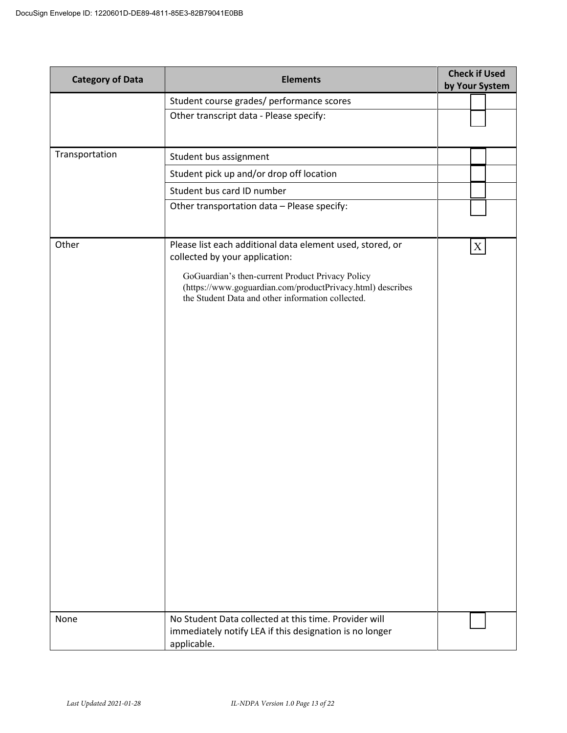| <b>Category of Data</b> | <b>Elements</b>                                                                                                                                                     | <b>Check if Used</b><br>by Your System |
|-------------------------|---------------------------------------------------------------------------------------------------------------------------------------------------------------------|----------------------------------------|
|                         | Student course grades/ performance scores                                                                                                                           |                                        |
|                         | Other transcript data - Please specify:                                                                                                                             |                                        |
|                         |                                                                                                                                                                     |                                        |
| Transportation          | Student bus assignment                                                                                                                                              |                                        |
|                         | Student pick up and/or drop off location                                                                                                                            |                                        |
|                         | Student bus card ID number                                                                                                                                          |                                        |
|                         | Other transportation data - Please specify:                                                                                                                         |                                        |
| Other                   | Please list each additional data element used, stored, or<br>collected by your application:                                                                         | X                                      |
|                         | GoGuardian's then-current Product Privacy Policy<br>(https://www.goguardian.com/productPrivacy.html) describes<br>the Student Data and other information collected. |                                        |
|                         |                                                                                                                                                                     |                                        |
|                         |                                                                                                                                                                     |                                        |
|                         |                                                                                                                                                                     |                                        |
|                         |                                                                                                                                                                     |                                        |
|                         |                                                                                                                                                                     |                                        |
|                         |                                                                                                                                                                     |                                        |
|                         |                                                                                                                                                                     |                                        |
|                         |                                                                                                                                                                     |                                        |
| None                    | No Student Data collected at this time. Provider will<br>immediately notify LEA if this designation is no longer<br>applicable.                                     |                                        |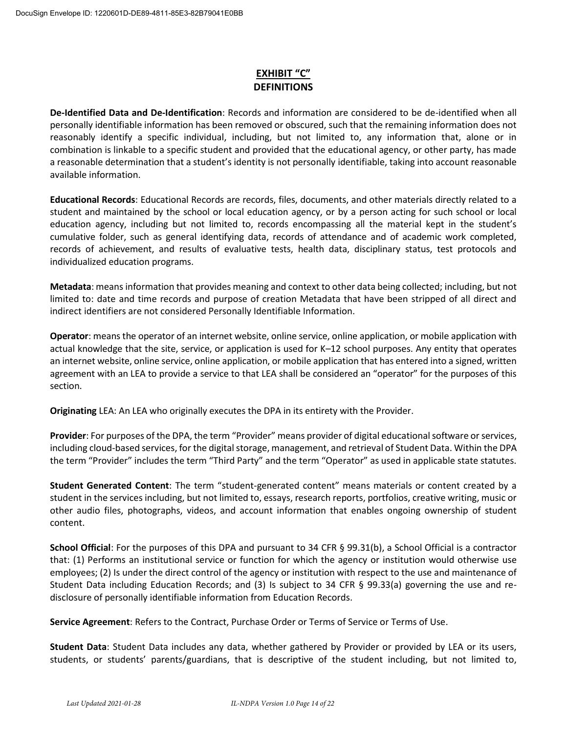# **EXHIBIT "C" DEFINITIONS**

**De-Identified Data and De-Identification**: Records and information are considered to be de-identified when all personally identifiable information has been removed or obscured, such that the remaining information does not reasonably identify a specific individual, including, but not limited to, any information that, alone or in combination is linkable to a specific student and provided that the educational agency, or other party, has made a reasonable determination that a student's identity is not personally identifiable, taking into account reasonable available information.

**Educational Records**: Educational Records are records, files, documents, and other materials directly related to a student and maintained by the school or local education agency, or by a person acting for such school or local education agency, including but not limited to, records encompassing all the material kept in the student's cumulative folder, such as general identifying data, records of attendance and of academic work completed, records of achievement, and results of evaluative tests, health data, disciplinary status, test protocols and individualized education programs.

**Metadata**: means information that provides meaning and context to other data being collected; including, but not limited to: date and time records and purpose of creation Metadata that have been stripped of all direct and indirect identifiers are not considered Personally Identifiable Information.

**Operator**: means the operator of an internet website, online service, online application, or mobile application with actual knowledge that the site, service, or application is used for K–12 school purposes. Any entity that operates an internet website, online service, online application, or mobile application that has entered into a signed, written agreement with an LEA to provide a service to that LEA shall be considered an "operator" for the purposes of this section.

**Originating** LEA: An LEA who originally executes the DPA in its entirety with the Provider.

**Provider**: For purposes of the DPA, the term "Provider" means provider of digital educational software or services, including cloud-based services, for the digital storage, management, and retrieval of Student Data. Within the DPA the term "Provider" includes the term "Third Party" and the term "Operator" as used in applicable state statutes.

**Student Generated Content**: The term "student-generated content" means materials or content created by a student in the services including, but not limited to, essays, research reports, portfolios, creative writing, music or other audio files, photographs, videos, and account information that enables ongoing ownership of student content.

**School Official**: For the purposes of this DPA and pursuant to 34 CFR § 99.31(b), a School Official is a contractor that: (1) Performs an institutional service or function for which the agency or institution would otherwise use employees; (2) Is under the direct control of the agency or institution with respect to the use and maintenance of Student Data including Education Records; and (3) Is subject to 34 CFR § 99.33(a) governing the use and redisclosure of personally identifiable information from Education Records.

**Service Agreement**: Refers to the Contract, Purchase Order or Terms of Service or Terms of Use.

**Student Data**: Student Data includes any data, whether gathered by Provider or provided by LEA or its users, students, or students' parents/guardians, that is descriptive of the student including, but not limited to,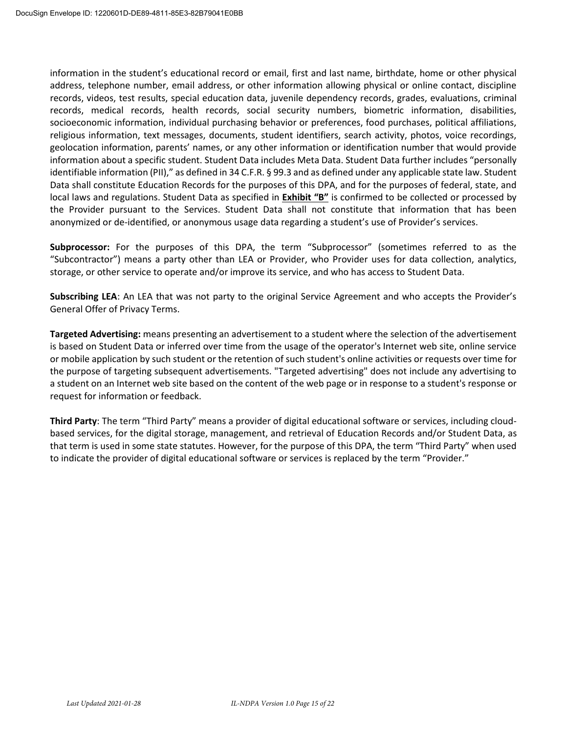information in the student's educational record or email, first and last name, birthdate, home or other physical address, telephone number, email address, or other information allowing physical or online contact, discipline records, videos, test results, special education data, juvenile dependency records, grades, evaluations, criminal records, medical records, health records, social security numbers, biometric information, disabilities, socioeconomic information, individual purchasing behavior or preferences, food purchases, political affiliations, religious information, text messages, documents, student identifiers, search activity, photos, voice recordings, geolocation information, parents' names, or any other information or identification number that would provide information about a specific student. Student Data includes Meta Data. Student Data further includes "personally identifiable information (PII)," as defined in 34 C.F.R. § 99.3 and as defined under any applicable state law. Student Data shall constitute Education Records for the purposes of this DPA, and for the purposes of federal, state, and local laws and regulations. Student Data as specified in **Exhibit "B"** is confirmed to be collected or processed by the Provider pursuant to the Services. Student Data shall not constitute that information that has been anonymized or de-identified, or anonymous usage data regarding a student's use of Provider's services.

Subprocessor: For the purposes of this DPA, the term "Subprocessor" (sometimes referred to as the "Subcontractor") means a party other than LEA or Provider, who Provider uses for data collection, analytics, storage, or other service to operate and/or improve its service, and who has access to Student Data.

**Subscribing LEA:** An LEA that was not party to the original Service Agreement and who accepts the Provider's General Offer of Privacy Terms.

**Targeted Advertising:** means presenting an advertisement to a student where the selection of the advertisement is based on Student Data or inferred over time from the usage of the operator's Internet web site, online service or mobile application by such student or the retention of such student's online activities or requests over time for the purpose of targeting subsequent advertisements. "Targeted advertising" does not include any advertising to a student on an Internet web site based on the content of the web page or in response to a student's response or request for information or feedback.

**Third Party**: The term "Third Party" means a provider of digital educational software or services, including cloudbased services, for the digital storage, management, and retrieval of Education Records and/or Student Data, as that term is used in some state statutes. However, for the purpose of this DPA, the term "Third Party" when used to indicate the provider of digital educational software or services is replaced by the term "Provider."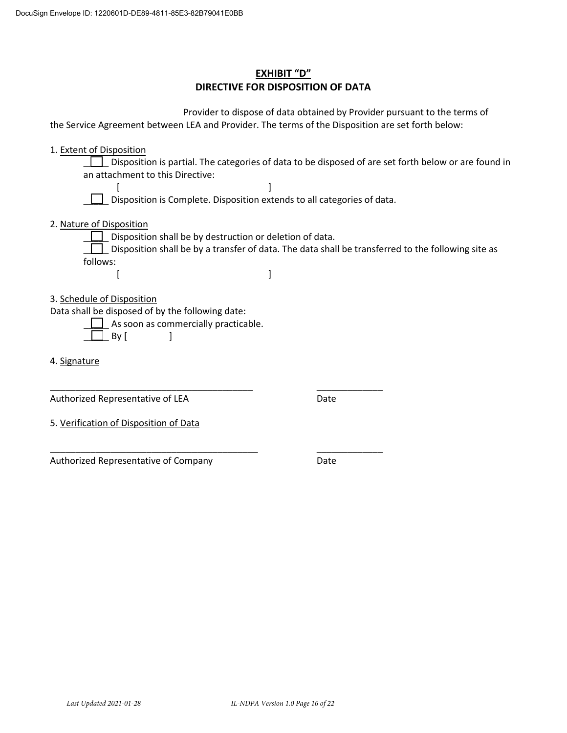# **EXHIBIT "D" DIRECTIVE FOR DISPOSITION OF DATA**

| Provider to dispose of data obtained by Provider pursuant to the terms of<br>the Service Agreement between LEA and Provider. The terms of the Disposition are set forth below:                                                                  |
|-------------------------------------------------------------------------------------------------------------------------------------------------------------------------------------------------------------------------------------------------|
| 1. Extent of Disposition<br>Disposition is partial. The categories of data to be disposed of are set forth below or are found in<br>an attachment to this Directive:<br>Disposition is Complete. Disposition extends to all categories of data. |
| 2. Nature of Disposition<br>Disposition shall be by destruction or deletion of data.<br>Disposition shall be by a transfer of data. The data shall be transferred to the following site as<br>follows:                                          |
| 3. Schedule of Disposition<br>Data shall be disposed of by the following date:<br>As soon as commercially practicable.<br>By [                                                                                                                  |
| 4. Signature                                                                                                                                                                                                                                    |
| Authorized Representative of LEA<br>Date                                                                                                                                                                                                        |

5. Verification of Disposition of Data

Authorized Representative of Company

\_\_\_\_\_\_\_\_\_\_\_\_\_\_\_\_\_\_\_\_\_\_\_\_\_\_\_\_\_\_\_\_\_\_\_\_\_\_\_\_\_

Date

\_\_\_\_\_\_\_\_\_\_\_\_\_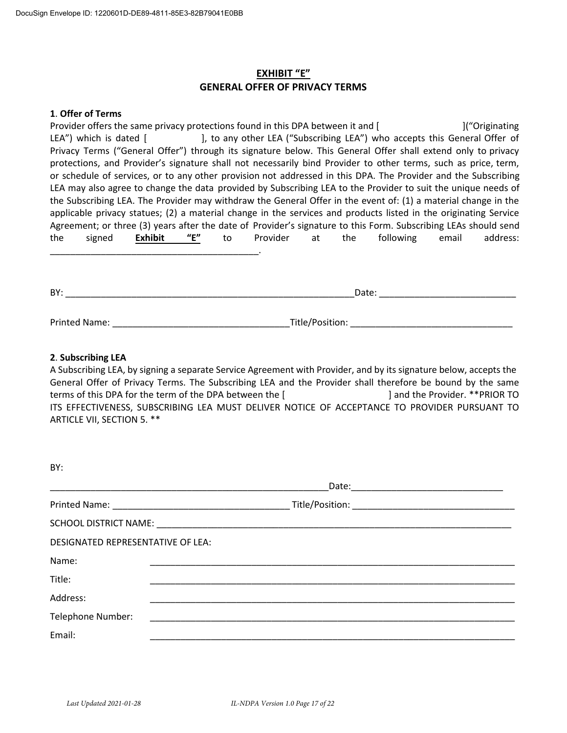## **EXHIBIT ͞E͟ GENERAL OFFER OF PRIVACY TERMS**

#### **1**. **Offer of Terms**

Provider offers the same privacy protections found in this DPA between it and [Interact and ] ("Originating" LEA<sup>"</sup>) which is dated [  $\qquad$ ], to any other LEA ("Subscribing LEA") who accepts this General Offer of Privacy Terms ("General Offer") through its signature below. This General Offer shall extend only to privacy protections, and Provider's signature shall not necessarily bind Provider to other terms, such as price, term, or schedule of services, or to any other provision not addressed in this DPA. The Provider and the Subscribing LEA may also agree to change the data provided by Subscribing LEA to the Provider to suit the unique needs of the Subscribing LEA. The Provider may withdraw the General Offer in the event of: (1) a material change in the applicable privacy statues; (2) a material change in the services and products listed in the originating Service Agreement; or three (3) years after the date of Provider's signature to this Form. Subscribing LEAs should send the signed Exhibit "E" to Provider at the following email address: \_\_\_\_\_\_\_\_\_\_\_\_\_\_\_\_\_\_\_\_\_\_\_\_\_\_\_\_\_\_\_\_\_\_\_\_\_\_\_\_\_.

| BY:                  | Date:           |  |
|----------------------|-----------------|--|
|                      |                 |  |
| <b>Printed Name:</b> | Title/Position: |  |

#### **2**. **Subscribing LEA**

BY:

A Subscribing LEA, by signing a separate Service Agreement with Provider, and by its signature below, accepts the General Offer of Privacy Terms. The Subscribing LEA and the Provider shall therefore be bound by the same terms of this DPA for the term of the DPA between the [] and the Provider. \*\*PRIOR TO ITS EFFECTIVENESS, SUBSCRIBING LEA MUST DELIVER NOTICE OF ACCEPTANCE TO PROVIDER PURSUANT TO ARTICLE VII, SECTION 5. \*\*

| <b>DI.</b>                        |  |  |  |
|-----------------------------------|--|--|--|
|                                   |  |  |  |
|                                   |  |  |  |
|                                   |  |  |  |
| DESIGNATED REPRESENTATIVE OF LEA: |  |  |  |
| Name:                             |  |  |  |
| Title:                            |  |  |  |
| Address:                          |  |  |  |
| Telephone Number:                 |  |  |  |
| Email:                            |  |  |  |
|                                   |  |  |  |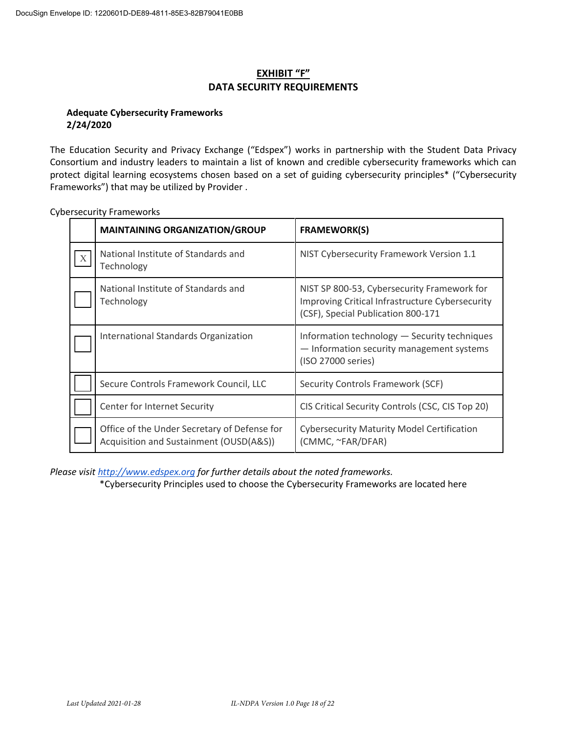## **EXHIBIT "F" DATA SECURITY REQUIREMENTS**

### **Adequate Cybersecurity Frameworks 2/24/2020**

The Education Security and Privacy Exchange ("Edspex") works in partnership with the Student Data Privacy Consortium and industry leaders to maintain a list of known and credible cybersecurity frameworks which can protect digital learning ecosystems chosen based on a set of guiding cybersecurity principles\* ("Cybersecurity Frameworks") that may be utilized by Provider.

|                           | <b>MAINTAINING ORGANIZATION/GROUP</b>                                                   | <b>FRAMEWORK(S)</b>                                                                                                                  |
|---------------------------|-----------------------------------------------------------------------------------------|--------------------------------------------------------------------------------------------------------------------------------------|
| $\boldsymbol{\mathrm{X}}$ | National Institute of Standards and<br>Technology                                       | NIST Cybersecurity Framework Version 1.1                                                                                             |
|                           | National Institute of Standards and<br>Technology                                       | NIST SP 800-53, Cybersecurity Framework for<br>Improving Critical Infrastructure Cybersecurity<br>(CSF), Special Publication 800-171 |
|                           | International Standards Organization                                                    | Information technology - Security techniques<br>- Information security management systems<br>(ISO 27000 series)                      |
|                           | Secure Controls Framework Council, LLC                                                  | Security Controls Framework (SCF)                                                                                                    |
|                           | Center for Internet Security                                                            | CIS Critical Security Controls (CSC, CIS Top 20)                                                                                     |
|                           | Office of the Under Secretary of Defense for<br>Acquisition and Sustainment (OUSD(A&S)) | <b>Cybersecurity Maturity Model Certification</b><br>(CMMC, ~FAR/DFAR)                                                               |

Cybersecurity Frameworks

*Please visit http://www.edspex.org for further details about the noted frameworks.* 

\*Cybersecurity Principles used to choose the Cybersecurity Frameworks are located here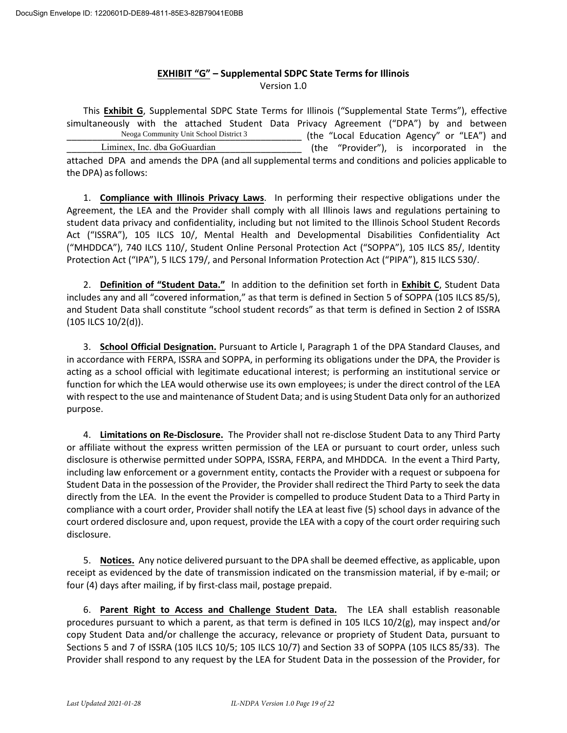#### **EXHIBIT "G" – Supplemental SDPC State Terms for Illinois** Version 1.0

This **Exhibit G**, Supplemental SDPC State Terms for Illinois ("Supplemental State Terms"), effective simultaneously with the attached Student Data Privacy Agreement ("DPA") by and between (the "Local Education Agency" or "LEA") and (the "Provider"), is incorporated in the attached DPA and amends the DPA (and all supplemental terms and conditions and policies applicable to the DPA) as follows: Liminex, Inc. dba GoGuardian Neoga Community Unit School District 3

1. **Compliance with Illinois Privacy Laws**. In performing their respective obligations under the Agreement, the LEA and the Provider shall comply with all Illinois laws and regulations pertaining to student data privacy and confidentiality, including but not limited to the Illinois School Student Records Act ("ISSRA"), 105 ILCS 10/, Mental Health and Developmental Disabilities Confidentiality Act ("MHDDCA"), 740 ILCS 110/, Student Online Personal Protection Act ("SOPPA"), 105 ILCS 85/, Identity Protection Act ("IPA"), 5 ILCS 179/, and Personal Information Protection Act ("PIPA"), 815 ILCS 530/.

2. **Definition of "Student Data."** In addition to the definition set forth in **Exhibit C**, Student Data includes any and all "covered information," as that term is defined in Section 5 of SOPPA (105 ILCS 85/5), and Student Data shall constitute "school student records" as that term is defined in Section 2 of ISSRA (105 ILCS 10/2(d)).

3. **School Official Designation.** Pursuant to Article I, Paragraph 1 of the DPA Standard Clauses, and in accordance with FERPA, ISSRA and SOPPA, in performing its obligations under the DPA, the Provider is acting as a school official with legitimate educational interest; is performing an institutional service or function for which the LEA would otherwise use its own employees; is under the direct control of the LEA with respect to the use and maintenance of Student Data; and is using Student Data only for an authorized purpose.

4. **Limitations on Re-Disclosure.** The Provider shall not re-disclose Student Data to any Third Party or affiliate without the express written permission of the LEA or pursuant to court order, unless such disclosure is otherwise permitted under SOPPA, ISSRA, FERPA, and MHDDCA. In the event a Third Party, including law enforcement or a government entity, contacts the Provider with a request or subpoena for Student Data in the possession of the Provider, the Provider shall redirect the Third Party to seek the data directly from the LEA. In the event the Provider is compelled to produce Student Data to a Third Party in compliance with a court order, Provider shall notify the LEA at least five (5) school days in advance of the court ordered disclosure and, upon request, provide the LEA with a copy of the court order requiring such disclosure.

5. **Notices.** Any notice delivered pursuant to the DPA shall be deemed effective, as applicable, upon receipt as evidenced by the date of transmission indicated on the transmission material, if by e-mail; or four (4) days after mailing, if by first-class mail, postage prepaid.

6. **Parent Right to Access and Challenge Student Data.** The LEA shall establish reasonable procedures pursuant to which a parent, as that term is defined in 105 ILCS 10/2(g), may inspect and/or copy Student Data and/or challenge the accuracy, relevance or propriety of Student Data, pursuant to Sections 5 and 7 of ISSRA (105 ILCS 10/5; 105 ILCS 10/7) and Section 33 of SOPPA (105 ILCS 85/33). The Provider shall respond to any request by the LEA for Student Data in the possession of the Provider, for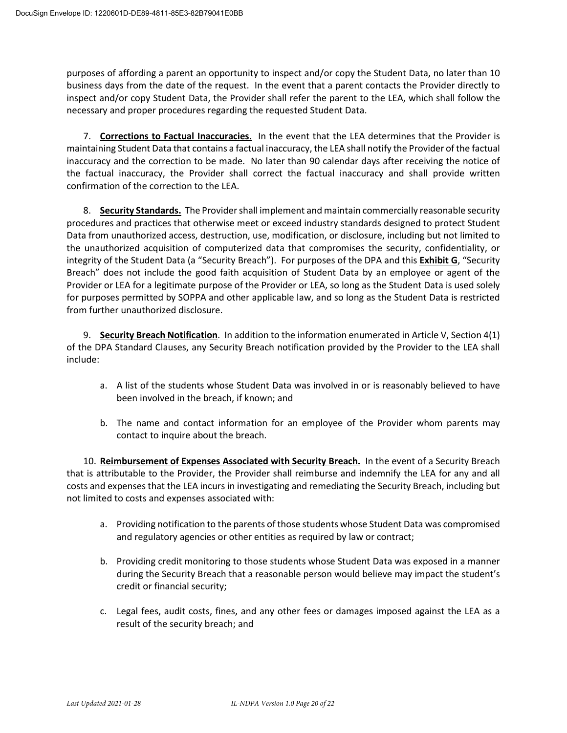purposes of affording a parent an opportunity to inspect and/or copy the Student Data, no later than 10 business days from the date of the request. In the event that a parent contacts the Provider directly to inspect and/or copy Student Data, the Provider shall refer the parent to the LEA, which shall follow the necessary and proper procedures regarding the requested Student Data.

7. **Corrections to Factual Inaccuracies.** In the event that the LEA determines that the Provider is maintaining Student Data that contains a factual inaccuracy, the LEA shall notify the Provider of the factual inaccuracy and the correction to be made. No later than 90 calendar days after receiving the notice of the factual inaccuracy, the Provider shall correct the factual inaccuracy and shall provide written confirmation of the correction to the LEA.

8. **Security Standards.** The Provider shall implement and maintain commercially reasonable security procedures and practices that otherwise meet or exceed industry standards designed to protect Student Data from unauthorized access, destruction, use, modification, or disclosure, including but not limited to the unauthorized acquisition of computerized data that compromises the security, confidentiality, or integrity of the Student Data (a "Security Breach"). For purposes of the DPA and this **Exhibit G**, "Security Breach" does not include the good faith acquisition of Student Data by an employee or agent of the Provider or LEA for a legitimate purpose of the Provider or LEA, so long as the Student Data is used solely for purposes permitted by SOPPA and other applicable law, and so long as the Student Data is restricted from further unauthorized disclosure.

9. **Security Breach Notification**. In addition to the information enumerated in Article V, Section 4(1) of the DPA Standard Clauses, any Security Breach notification provided by the Provider to the LEA shall include:

- a. A list of the students whose Student Data was involved in or is reasonably believed to have been involved in the breach, if known; and
- b. The name and contact information for an employee of the Provider whom parents may contact to inquire about the breach.

10. **Reimbursement of Expenses Associated with Security Breach.** In the event of a Security Breach that is attributable to the Provider, the Provider shall reimburse and indemnify the LEA for any and all costs and expenses that the LEA incurs in investigating and remediating the Security Breach, including but not limited to costs and expenses associated with:

- a. Providing notification to the parents of those students whose Student Data was compromised and regulatory agencies or other entities as required by law or contract;
- b. Providing credit monitoring to those students whose Student Data was exposed in a manner during the Security Breach that a reasonable person would believe may impact the student's credit or financial security;
- c. Legal fees, audit costs, fines, and any other fees or damages imposed against the LEA as a result of the security breach; and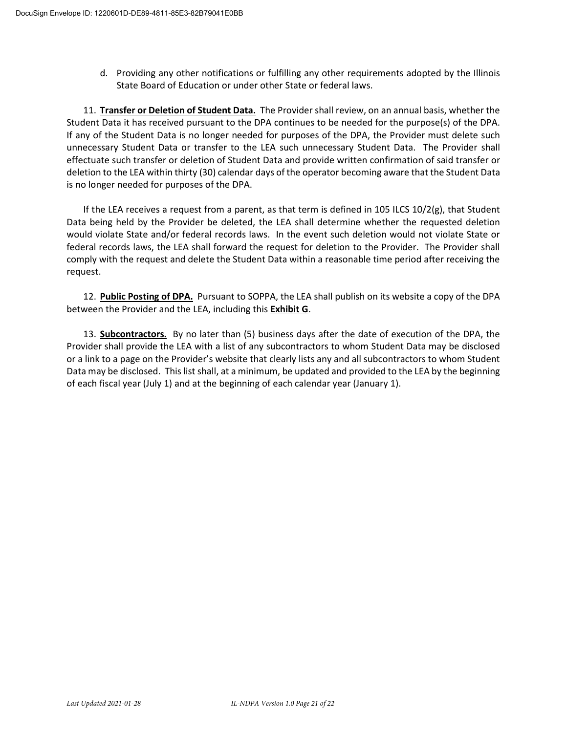d. Providing any other notifications or fulfilling any other requirements adopted by the Illinois State Board of Education or under other State or federal laws.

11. **Transfer or Deletion of Student Data.** The Provider shall review, on an annual basis, whether the Student Data it has received pursuant to the DPA continues to be needed for the purpose(s) of the DPA. If any of the Student Data is no longer needed for purposes of the DPA, the Provider must delete such unnecessary Student Data or transfer to the LEA such unnecessary Student Data. The Provider shall effectuate such transfer or deletion of Student Data and provide written confirmation of said transfer or deletion to the LEA within thirty (30) calendar days of the operator becoming aware that the Student Data is no longer needed for purposes of the DPA.

If the LEA receives a request from a parent, as that term is defined in 105 ILCS 10/2(g), that Student Data being held by the Provider be deleted, the LEA shall determine whether the requested deletion would violate State and/or federal records laws. In the event such deletion would not violate State or federal records laws, the LEA shall forward the request for deletion to the Provider. The Provider shall comply with the request and delete the Student Data within a reasonable time period after receiving the request.

12. **Public Posting of DPA.** Pursuant to SOPPA, the LEA shall publish on its website a copy of the DPA between the Provider and the LEA, including this **Exhibit G**.

13. **Subcontractors.** By no later than (5) business days after the date of execution of the DPA, the Provider shall provide the LEA with a list of any subcontractors to whom Student Data may be disclosed or a link to a page on the Provider's website that clearly lists any and all subcontractors to whom Student Data may be disclosed. This list shall, at a minimum, be updated and provided to the LEA by the beginning of each fiscal year (July 1) and at the beginning of each calendar year (January 1).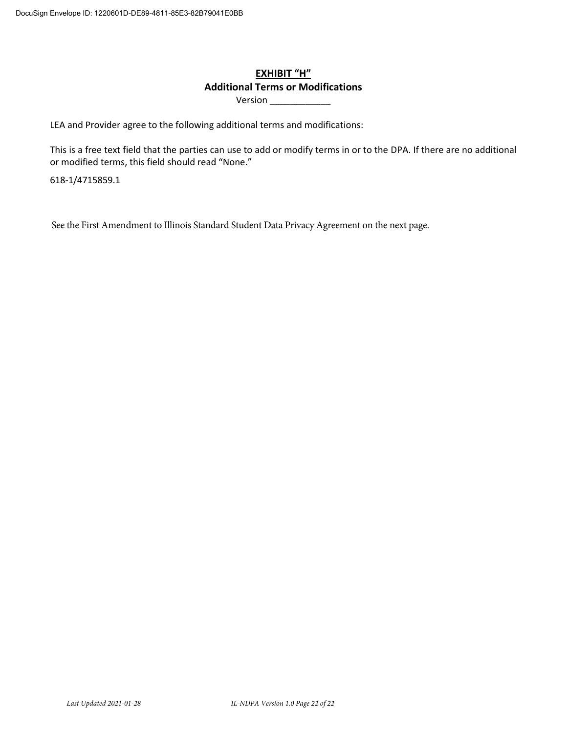# **EXHIBIT "H" Additional Terms or Modifications**

Version \_\_\_\_\_\_\_\_\_\_\_\_\_\_\_

LEA and Provider agree to the following additional terms and modifications:

This is a free text field that the parties can use to add or modify terms in or to the DPA. If there are no additional or modified terms, this field should read "None."

618-1/4715859.1

See the First Amendment to Illinois Standard Student Data Privacy Agreement on the next page.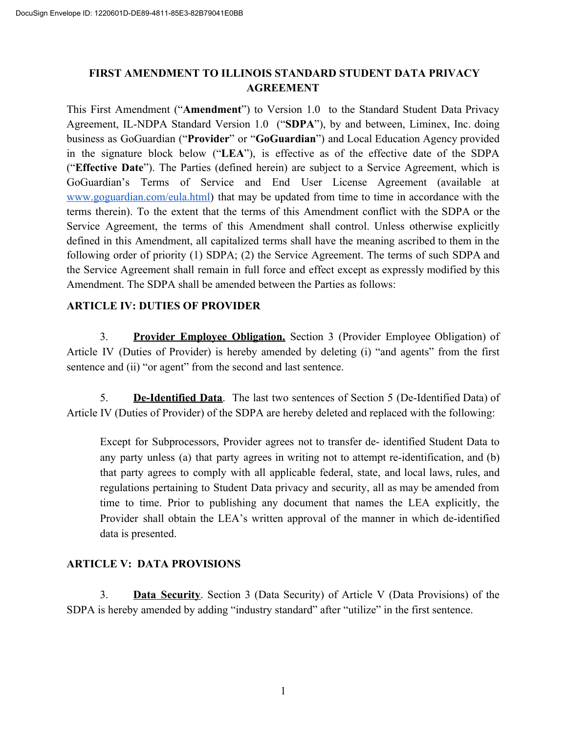# **FIRST AMENDMENT TO ILLINOIS STANDARD STUDENT DATA PRIVACY AGREEMENT**

This First Amendment ("**Amendment**") to Version 1.0 to the Standard Student Data Privacy Agreement, IL-NDPA Standard Version 1.0 ("**SDPA**"), by and between, Liminex, Inc. doing business as GoGuardian ("**Provider**" or "**GoGuardian**") and Local Education Agency provided in the signature block below ("**LEA**"), is effective as of the effective date of the SDPA ("**Effective Date**"). The Parties (defined herein) are subject to a Service Agreement, which is GoGuardian's Terms of Service and End User License Agreement (available at www.goguardian.com/eula.html) that may be updated from time to time in accordance with the terms therein). To the extent that the terms of this Amendment conflict with the SDPA or the Service Agreement, the terms of this Amendment shall control. Unless otherwise explicitly defined in this Amendment, all capitalized terms shall have the meaning ascribed to them in the following order of priority (1) SDPA; (2) the Service Agreement. The terms of such SDPA and the Service Agreement shall remain in full force and effect except as expressly modified by this Amendment. The SDPA shall be amended between the Parties as follows:

# **ARTICLE IV: DUTIES OF PROVIDER**

3. **Provider Employee Obligation.** Section 3 (Provider Employee Obligation) of Article IV (Duties of Provider) is hereby amended by deleting (i) "and agents" from the first sentence and (ii) "or agent" from the second and last sentence.

5. **De-Identified Data**. The last two sentences of Section 5 (De-Identified Data) of Article IV (Duties of Provider) of the SDPA are hereby deleted and replaced with the following:

Except for Subprocessors, Provider agrees not to transfer de- identified Student Data to any party unless (a) that party agrees in writing not to attempt re-identification, and (b) that party agrees to comply with all applicable federal, state, and local laws, rules, and regulations pertaining to Student Data privacy and security, all as may be amended from time to time. Prior to publishing any document that names the LEA explicitly, the Provider shall obtain the LEA's written approval of the manner in which de-identified data is presented.

## **ARTICLE V: DATA PROVISIONS**

3. **Data Security**. Section 3 (Data Security) of Article V (Data Provisions) of the SDPA is hereby amended by adding "industry standard" after "utilize" in the first sentence.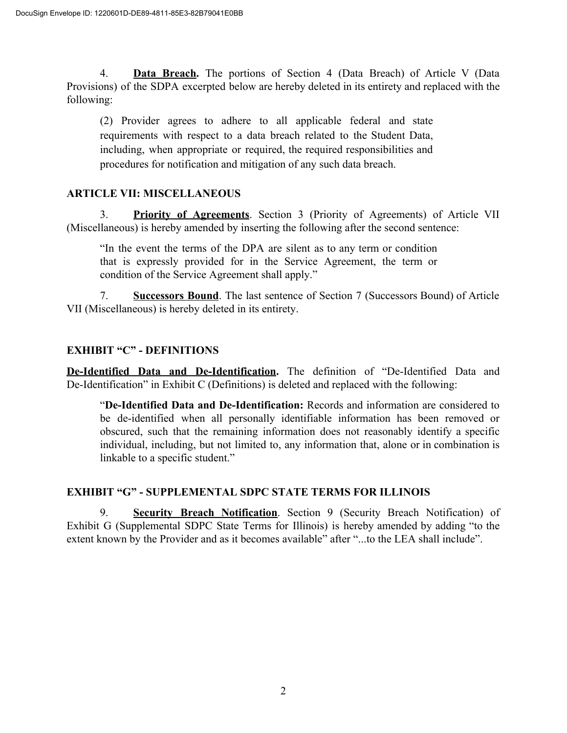4. **Data Breach.** The portions of Section 4 (Data Breach) of Article V (Data Provisions) of the SDPA excerpted below are hereby deleted in its entirety and replaced with the following:

(2) Provider agrees to adhere to all applicable federal and state requirements with respect to a data breach related to the Student Data, including, when appropriate or required, the required responsibilities and procedures for notification and mitigation of any such data breach.

# **ARTICLE VII: MISCELLANEOUS**

3. **Priority of Agreements**. Section 3 (Priority of Agreements) of Article VII (Miscellaneous) is hereby amended by inserting the following after the second sentence:

"In the event the terms of the DPA are silent as to any term or condition that is expressly provided for in the Service Agreement, the term or condition of the Service Agreement shall apply."

7. **Successors Bound**. The last sentence of Section 7 (Successors Bound) of Article VII (Miscellaneous) is hereby deleted in its entirety.

# **EXHIBIT "C" - DEFINITIONS**

**De-Identified Data and De-Identification.** The definition of "De-Identified Data and De-Identification" in Exhibit C (Definitions) is deleted and replaced with the following:

"**De-Identified Data and De-Identification:** Records and information are considered to be de-identified when all personally identifiable information has been removed or obscured, such that the remaining information does not reasonably identify a specific individual, including, but not limited to, any information that, alone or in combination is linkable to a specific student."

# **EXHIBIT "G" - SUPPLEMENTAL SDPC STATE TERMS FOR ILLINOIS**

9. **Security Breach Notification**. Section 9 (Security Breach Notification) of Exhibit G (Supplemental SDPC State Terms for Illinois) is hereby amended by adding "to the extent known by the Provider and as it becomes available" after "...to the LEA shall include".